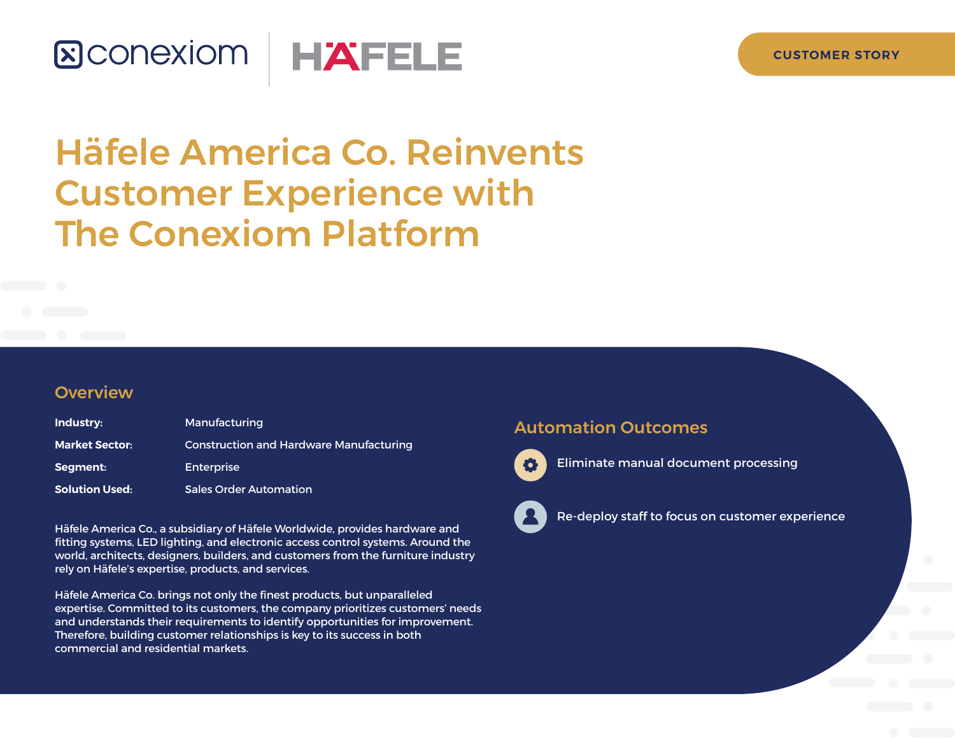# **SCONEXIOM HAFELE**



# Häfele America Co. Reinvents Customer Experience with The Conexiom Platform

#### **Overview**

| Industry:             | Manufacturing                                  |
|-----------------------|------------------------------------------------|
| <b>Market Sector:</b> | <b>Construction and Hardware Manufacturing</b> |
| Segment:              | <b>Enterprise</b>                              |
| <b>Solution Used:</b> | <b>Sales Order Automation</b>                  |

Häfele America Co., a subsidiary of Häfele Worldwide, provides hardware and fitting systems, LED lighting, and electronic access control systems. Around the world, architects, designers, builders, and customers from the furniture industry rely on Häfele's expertise, products, and services.

Häfele America Co. brings not only the finest products, but unparalleled expertise. Committed to its customers, the company prioritizes customers' needs and understands their requirements to identify opportunities for improvement. Therefore, building customer relationships is key to its success in both commercial and residential markets.

#### Automation Outcomes



Eliminate manual document processing



Re-deploy staff to focus on customer experience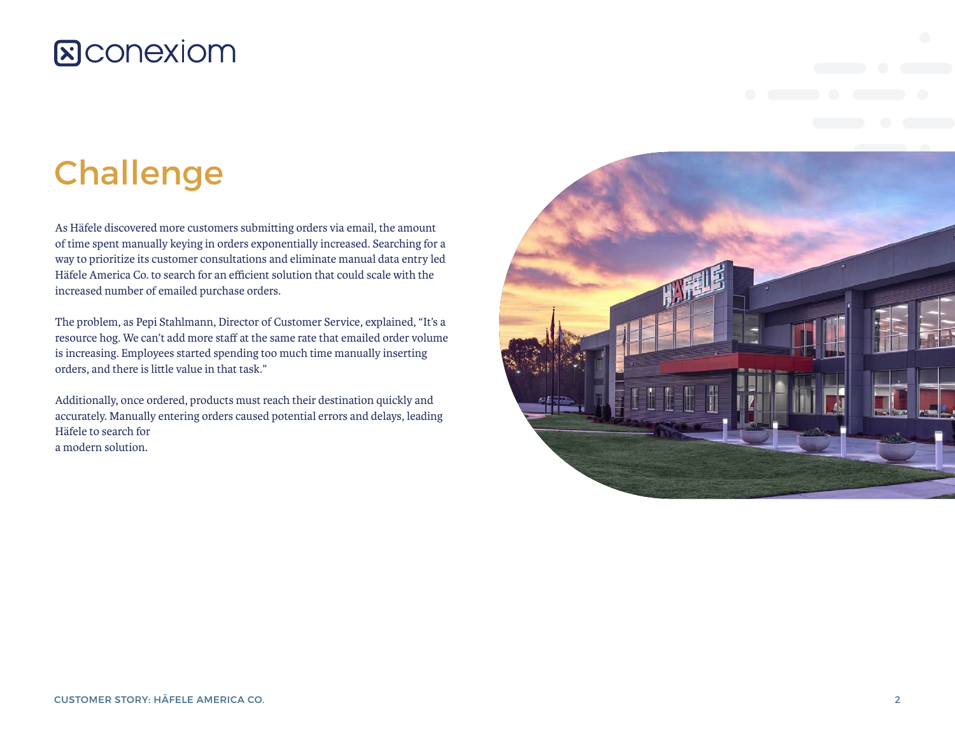### **&CONEXIOM**

# Challenge

As Häfele discovered more customers submitting orders via email, the amount of time spent manually keying in orders exponentially increased. Searching for a way to prioritize its customer consultations and eliminate manual data entry led Häfele America Co. to search for an efficient solution that could scale with the increased number of emailed purchase orders.

The problem, as Pepi Stahlmann, Director of Customer Service, explained, "It's a resource hog. We can't add more staff at the same rate that emailed order volume is increasing. Employees started spending too much time manually inserting orders, and there is little value in that task."

Additionally, once ordered, products must reach their destination quickly and accurately. Manually entering orders caused potential errors and delays, leading Häfele to search for a modern solution.

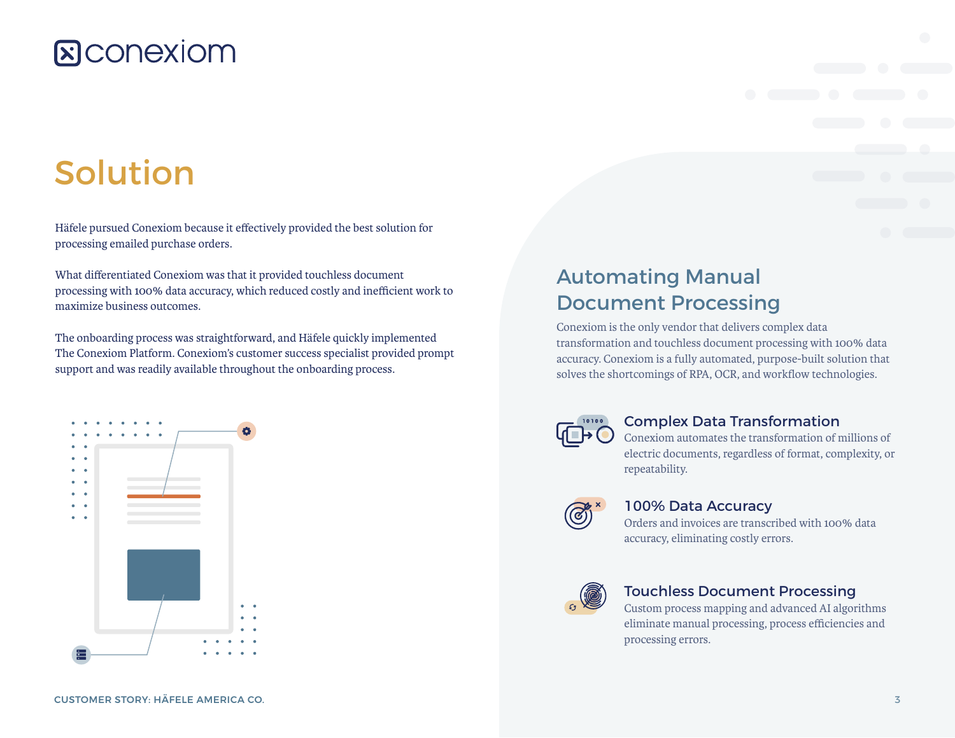### **ECONGRIOM**

# Solution

Häfele pursued Conexiom because it effectively provided the best solution for processing emailed purchase orders.

What differentiated Conexiom was that it provided touchless document processing with 100% data accuracy, which reduced costly and inefficient work to maximize business outcomes.

The onboarding process was straightforward, and Häfele quickly implemented The Conexiom Platform. Conexiom's customer success specialist provided prompt support and was readily available throughout the onboarding process.



### Automating Manual Document Processing

Conexiom is the only vendor that delivers complex data transformation and touchless document processing with 100% data accuracy. Conexiom is a fully automated, purpose-built solution that solves the shortcomings of RPA, OCR, and workflow technologies.



#### Complex Data Transformation

Conexiom automates the transformation of millions of electric documents, regardless of format, complexity, or repeatability.



#### 100% Data Accuracy

Orders and invoices are transcribed with 100% data accuracy, eliminating costly errors.



#### Touchless Document Processing

Custom process mapping and advanced AI algorithms eliminate manual processing, process efficiencies and processing errors.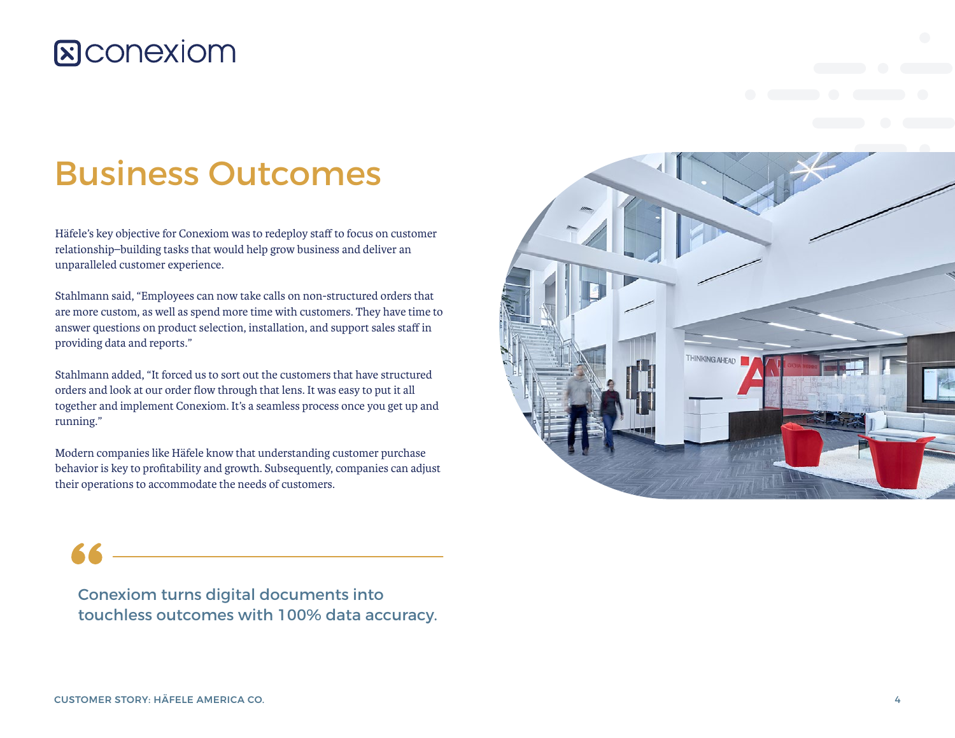### **&CONEXIOM**

### Business Outcomes

Häfele's key objective for Conexiom was to redeploy staff to focus on customer relationship–building tasks that would help grow business and deliver an unparalleled customer experience.

Stahlmann said, "Employees can now take calls on non-structured orders that are more custom, as well as spend more time with customers. They have time to answer questions on product selection, installation, and support sales staff in providing data and reports."

Stahlmann added, "It forced us to sort out the customers that have structured orders and look at our order flow through that lens. It was easy to put it all together and implement Conexiom. It's a seamless process once you get up and running."

Modern companies like Häfele know that understanding customer purchase behavior is key to profitability and growth. Subsequently, companies can adjust their operations to accommodate the needs of customers.





Conexiom turns digital documents into touchless outcomes with 100% data accuracy.